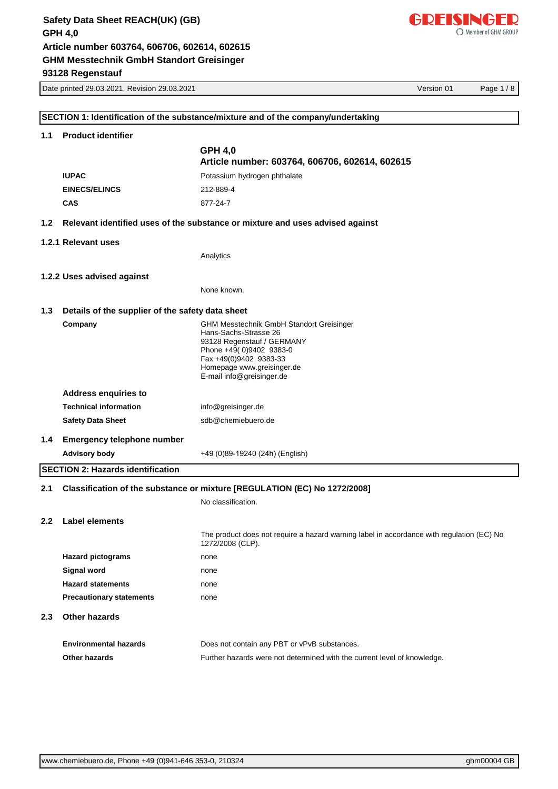

|                  | Date printed 29.03.2021, Revision 29.03.2021     |                                                                                           | Version 01 | Page 1/8 |
|------------------|--------------------------------------------------|-------------------------------------------------------------------------------------------|------------|----------|
|                  |                                                  |                                                                                           |            |          |
|                  |                                                  | SECTION 1: Identification of the substance/mixture and of the company/undertaking         |            |          |
| 1.1              | <b>Product identifier</b>                        |                                                                                           |            |          |
|                  |                                                  | <b>GPH 4,0</b>                                                                            |            |          |
|                  |                                                  | Article number: 603764, 606706, 602614, 602615                                            |            |          |
|                  | <b>IUPAC</b>                                     | Potassium hydrogen phthalate                                                              |            |          |
|                  | <b>EINECS/ELINCS</b>                             | 212-889-4                                                                                 |            |          |
|                  | <b>CAS</b>                                       | 877-24-7                                                                                  |            |          |
| 1.2 <sub>2</sub> |                                                  | Relevant identified uses of the substance or mixture and uses advised against             |            |          |
|                  | 1.2.1 Relevant uses                              |                                                                                           |            |          |
|                  |                                                  | Analytics                                                                                 |            |          |
|                  | 1.2.2 Uses advised against                       |                                                                                           |            |          |
|                  |                                                  | None known.                                                                               |            |          |
| 1.3              | Details of the supplier of the safety data sheet |                                                                                           |            |          |
|                  | Company                                          | <b>GHM Messtechnik GmbH Standort Greisinger</b>                                           |            |          |
|                  |                                                  | Hans-Sachs-Strasse 26<br>93128 Regenstauf / GERMANY                                       |            |          |
|                  |                                                  | Phone +49(0)9402 9383-0                                                                   |            |          |
|                  |                                                  | Fax +49(0)9402 9383-33<br>Homepage www.greisinger.de                                      |            |          |
|                  |                                                  | E-mail info@greisinger.de                                                                 |            |          |
|                  | <b>Address enquiries to</b>                      |                                                                                           |            |          |
|                  | <b>Technical information</b>                     | info@greisinger.de                                                                        |            |          |
|                  | <b>Safety Data Sheet</b>                         | sdb@chemiebuero.de                                                                        |            |          |
| 1.4              | <b>Emergency telephone number</b>                |                                                                                           |            |          |
|                  | <b>Advisory body</b>                             | +49 (0)89-19240 (24h) (English)                                                           |            |          |
|                  | <b>SECTION 2: Hazards identification</b>         |                                                                                           |            |          |
| 2.1              |                                                  | Classification of the substance or mixture [REGULATION (EC) No 1272/2008]                 |            |          |
|                  |                                                  | No classification.                                                                        |            |          |
| $2.2\phantom{0}$ | Label elements                                   |                                                                                           |            |          |
|                  |                                                  | The product does not require a hazard warning label in accordance with regulation (EC) No |            |          |
|                  |                                                  | 1272/2008 (CLP).                                                                          |            |          |
|                  | <b>Hazard pictograms</b>                         | none                                                                                      |            |          |
|                  | Signal word                                      | none                                                                                      |            |          |
|                  | <b>Hazard statements</b>                         | none                                                                                      |            |          |
|                  | <b>Precautionary statements</b>                  | none                                                                                      |            |          |
| 2.3 <sub>2</sub> | Other hazards                                    |                                                                                           |            |          |
|                  | <b>Environmental hazards</b>                     | Does not contain any PBT or vPvB substances.                                              |            |          |
|                  | Other hazards                                    | Further hazards were not determined with the current level of knowledge.                  |            |          |
|                  |                                                  |                                                                                           |            |          |
|                  |                                                  |                                                                                           |            |          |
|                  |                                                  |                                                                                           |            |          |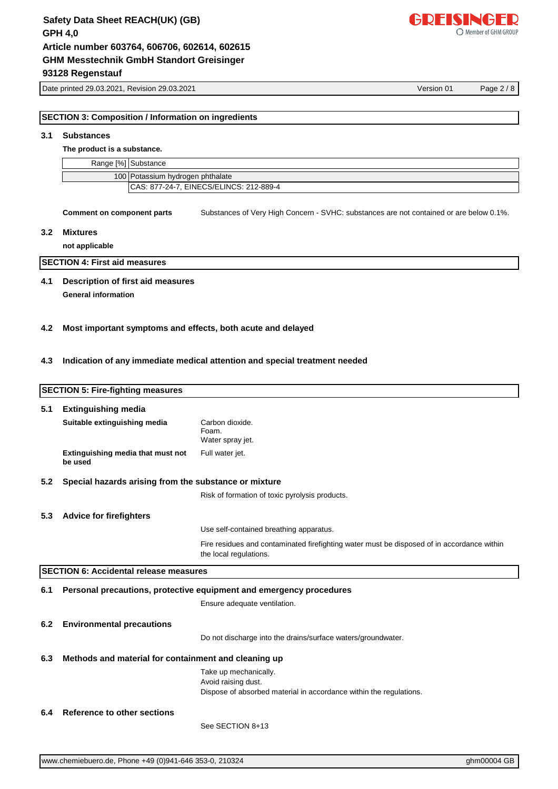# **SECTION 3: Composition / Information on ingredients**

# **3.1 Substances**

**The product is a substance.**

|                                         | Range [%] Substance |
|-----------------------------------------|---------------------|
| 100 Potassium hydrogen phthalate        |                     |
| CAS: 877-24-7. EINECS/ELINCS: 212-889-4 |                     |

**Comment on component parts** Substances of Very High Concern - SVHC: substances are not contained or are below 0.1%.

#### **3.2 Mixtures**

**not applicable**

**SECTION 4: First aid measures**

# **4.1 Description of first aid measures**

**General information**

#### **4.2 Most important symptoms and effects, both acute and delayed**

#### **4.3 Indication of any immediate medical attention and special treatment needed**

|     | <b>SECTION 5: Fire-fighting measures</b>              |                                                                                                                      |
|-----|-------------------------------------------------------|----------------------------------------------------------------------------------------------------------------------|
| 5.1 | <b>Extinguishing media</b>                            |                                                                                                                      |
|     | Suitable extinguishing media                          | Carbon dioxide.<br>Foam.<br>Water spray jet.                                                                         |
|     | Extinguishing media that must not<br>be used          | Full water jet.                                                                                                      |
| 5.2 | Special hazards arising from the substance or mixture |                                                                                                                      |
|     |                                                       | Risk of formation of toxic pyrolysis products.                                                                       |
| 5.3 | <b>Advice for firefighters</b>                        |                                                                                                                      |
|     |                                                       | Use self-contained breathing apparatus.                                                                              |
|     |                                                       | Fire residues and contaminated firefighting water must be disposed of in accordance within<br>the local regulations. |
|     | <b>SECTION 6: Accidental release measures</b>         |                                                                                                                      |
| 6.1 |                                                       | Personal precautions, protective equipment and emergency procedures                                                  |
|     |                                                       | Ensure adequate ventilation.                                                                                         |
| 6.2 | <b>Environmental precautions</b>                      |                                                                                                                      |
|     |                                                       | Do not discharge into the drains/surface waters/groundwater.                                                         |
| 6.3 | Methods and material for containment and cleaning up  |                                                                                                                      |
|     |                                                       | Take up mechanically.<br>Avoid raising dust.                                                                         |
|     |                                                       | Dispose of absorbed material in accordance within the regulations.                                                   |
| 6.4 | <b>Reference to other sections</b>                    |                                                                                                                      |
|     |                                                       | See SECTION 8+13                                                                                                     |



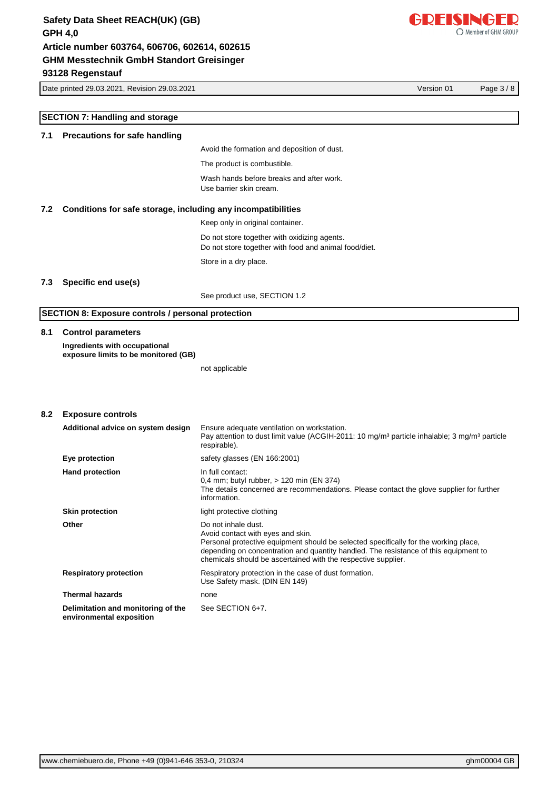

Date printed 29.03.2021, Revision 29.03.2021 Version 01 Page 3 / 8

# **SECTION 7: Handling and storage 7.1 Precautions for safe handling** Avoid the formation and deposition of dust. The product is combustible. Wash hands before breaks and after work. Use barrier skin cream. **7.2 Conditions for safe storage, including any incompatibilities** Keep only in original container. Do not store together with oxidizing agents. Do not store together with food and animal food/diet. Store in a dry place. **7.3 Specific end use(s)** See product use, SECTION 1.2 **SECTION 8: Exposure controls / personal protection 8.1 Control parameters Ingredients with occupational exposure limits to be monitored (GB)** not applicable **8.2 Exposure controls Additional advice on system design** Ensure adequate ventilation on workstation. Pay attention to dust limit value (ACGIH-2011: 10 mg/m<sup>3</sup> particle inhalable; 3 mg/m<sup>3</sup> particle respirable). **Eye protection** safety glasses (EN 166:2001) **Hand protection In full contact:** 0,4 mm; butyl rubber, > 120 min (EN 374) The details concerned are recommendations. Please contact the glove supplier for further information. **Skin protection Skin protective clothing Other** Do not inhale dust. Avoid contact with eyes and skin. Personal protective equipment should be selected specifically for the working place,

depending on concentration and quantity handled. The resistance of this equipment to

chemicals should be ascertained with the respective supplier.

**Respiratory protection** Respiratory protection in the case of dust formation. Use Safety mask. (DIN EN 149) **Thermal hazards** none

**Delimitation and monitoring of the environmental exposition** See SECTION 6+7.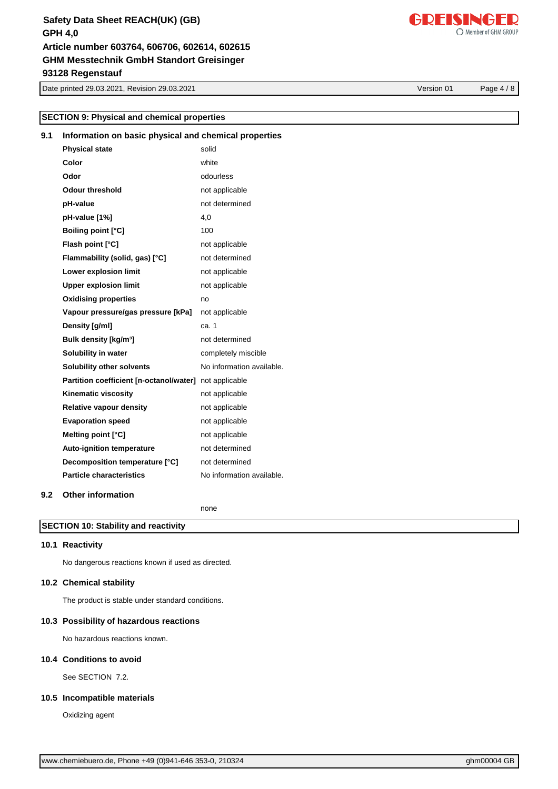# **GHM Messtechnik GmbH Standort Greisinger Safety Data Sheet REACH(UK) (GB) GPH 4,0 93128 Regenstauf Article number 603764, 606706, 602614, 602615**

Date printed 29.03.2021, Revision 29.03.2021 Version 01 Page 4 / 8

**SECTION 9: Physical and chemical properties**

**Physical state** solid **Color** white

**9.1 Information on basic physical and chemical properties**

| Odor | odourless |
|------|-----------|
|      |           |

| <b>Odour threshold</b>                  | not applicable            |
|-----------------------------------------|---------------------------|
| pH-value                                | not determined            |
| pH-value [1%]                           | 4,0                       |
| <b>Boiling point [°C]</b>               | 100                       |
| Flash point [°C]                        | not applicable            |
| Flammability (solid, gas) [°C]          | not determined            |
| Lower explosion limit                   | not applicable            |
| <b>Upper explosion limit</b>            | not applicable            |
| <b>Oxidising properties</b>             | no                        |
| Vapour pressure/gas pressure [kPa]      | not applicable            |
| Density [g/ml]                          | ca. 1                     |
| Bulk density [kg/m <sup>3</sup> ]       | not determined            |
| Solubility in water                     | completely miscible       |
| <b>Solubility other solvents</b>        | No information available. |
| Partition coefficient [n-octanol/water] | not applicable            |
| <b>Kinematic viscosity</b>              | not applicable            |
| <b>Relative vapour density</b>          | not applicable            |
| <b>Evaporation speed</b>                | not applicable            |
| Melting point [°C]                      | not applicable            |
| <b>Auto-ignition temperature</b>        | not determined            |
| Decomposition temperature [°C]          | not determined            |
| <b>Particle characteristics</b>         | No information available. |
|                                         |                           |

### **9.2 Other information**

none

### **SECTION 10: Stability and reactivity**

#### **10.1 Reactivity**

No dangerous reactions known if used as directed.

#### **10.2 Chemical stability**

The product is stable under standard conditions.

#### **10.3 Possibility of hazardous reactions**

No hazardous reactions known.

#### **10.4 Conditions to avoid**

See SECTION 7.2.

#### **10.5 Incompatible materials**

Oxidizing agent

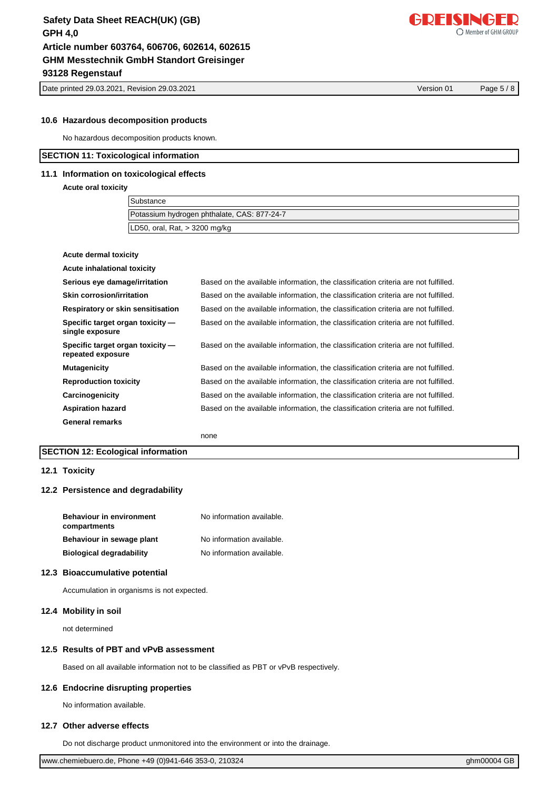Date printed 29.03.2021, Revision 29.03.2021 Version 01 Page 5 / 8

GDFISINGFD

Member of GHM GROUP

#### **10.6 Hazardous decomposition products**

No hazardous decomposition products known.

### **SECTION 11: Toxicological information**

# **11.1 Information on toxicological effects**

**Acute oral toxicity**

| <b>Substance</b>                            |  |
|---------------------------------------------|--|
| Potassium hydrogen phthalate, CAS: 877-24-7 |  |
| LD50, oral, Rat, $>$ 3200 mg/kg             |  |

| Acute dermal toxicity                                 |                                                                                    |
|-------------------------------------------------------|------------------------------------------------------------------------------------|
| Acute inhalational toxicity                           |                                                                                    |
| Serious eye damage/irritation                         | Based on the available information, the classification criteria are not fulfilled. |
| Skin corrosion/irritation                             | Based on the available information, the classification criteria are not fulfilled. |
| Respiratory or skin sensitisation                     | Based on the available information, the classification criteria are not fulfilled. |
| Specific target organ toxicity -<br>single exposure   | Based on the available information, the classification criteria are not fulfilled. |
| Specific target organ toxicity -<br>repeated exposure | Based on the available information, the classification criteria are not fulfilled. |
| <b>Mutagenicity</b>                                   | Based on the available information, the classification criteria are not fulfilled. |
| <b>Reproduction toxicity</b>                          | Based on the available information, the classification criteria are not fulfilled. |
| Carcinogenicity                                       | Based on the available information, the classification criteria are not fulfilled. |
| <b>Aspiration hazard</b>                              | Based on the available information, the classification criteria are not fulfilled. |
| <b>General remarks</b>                                |                                                                                    |
|                                                       |                                                                                    |

none

### **SECTION 12: Ecological information**

#### **12.1 Toxicity**

#### **12.2 Persistence and degradability**

| <b>Behaviour in environment</b> | No information available. |  |
|---------------------------------|---------------------------|--|
| compartments                    |                           |  |
| Behaviour in sewage plant       | No information available. |  |
| <b>Biological degradability</b> | No information available. |  |

#### **12.3 Bioaccumulative potential**

Accumulation in organisms is not expected.

### **12.4 Mobility in soil**

not determined

#### **12.5 Results of PBT and vPvB assessment**

Based on all available information not to be classified as PBT or vPvB respectively.

#### **12.6 Endocrine disrupting properties**

No information available.

### **12.7 Other adverse effects**

Do not discharge product unmonitored into the environment or into the drainage.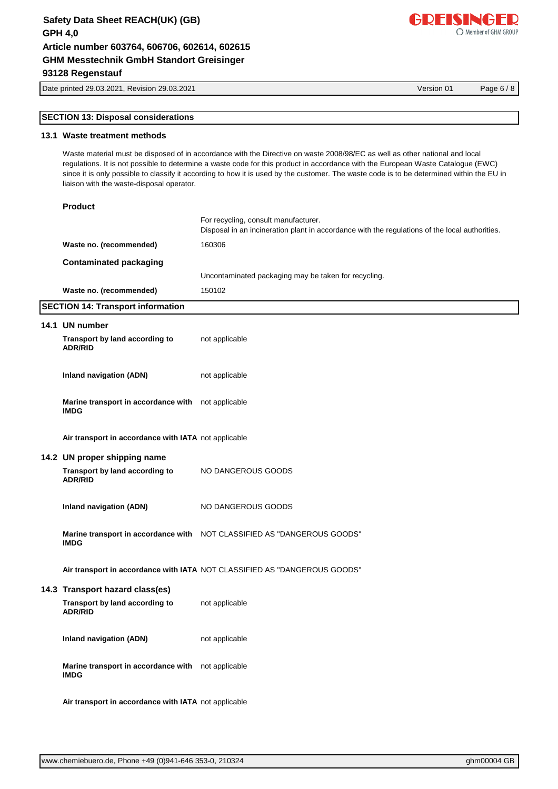**Waste no. (recommended)** 160306

Date printed 29.03.2021, Revision 29.03.2021 Version 01 Page 6 / 8

# **SECTION 13: Disposal considerations**

### **13.1 Waste treatment methods**

**Contaminated packaging**

**Product**

Waste material must be disposed of in accordance with the Directive on waste 2008/98/EC as well as other national and local regulations. It is not possible to determine a waste code for this product in accordance with the European Waste Catalogue (EWC) since it is only possible to classify it according to how it is used by the customer. The waste code is to be determined within the EU in liaison with the waste-disposal operator.

Uncontaminated packaging may be taken for recycling.

Disposal in an incineration plant in accordance with the regulations of the local authorities.

For recycling, consult manufacturer.

| Waste no. (recommended)                                           | 150102                                                                    |
|-------------------------------------------------------------------|---------------------------------------------------------------------------|
| <b>SECTION 14: Transport information</b>                          |                                                                           |
| 14.1 UN number                                                    |                                                                           |
| Transport by land according to<br><b>ADR/RID</b>                  | not applicable                                                            |
| Inland navigation (ADN)                                           | not applicable                                                            |
| Marine transport in accordance with not applicable<br><b>IMDG</b> |                                                                           |
| Air transport in accordance with IATA not applicable              |                                                                           |
| 14.2 UN proper shipping name                                      |                                                                           |
| Transport by land according to<br><b>ADR/RID</b>                  | NO DANGEROUS GOODS                                                        |
| <b>Inland navigation (ADN)</b>                                    | NO DANGEROUS GOODS                                                        |
| <b>IMDG</b>                                                       | Marine transport in accordance with   NOT CLASSIFIED AS "DANGEROUS GOODS" |
|                                                                   | Air transport in accordance with IATA NOT CLASSIFIED AS "DANGEROUS GOODS" |
| 14.3 Transport hazard class(es)                                   |                                                                           |
| Transport by land according to<br><b>ADR/RID</b>                  | not applicable                                                            |
| Inland navigation (ADN)                                           | not applicable                                                            |
| Marine transport in accordance with not applicable<br><b>IMDG</b> |                                                                           |

**Air transport in accordance with IATA** not applicable

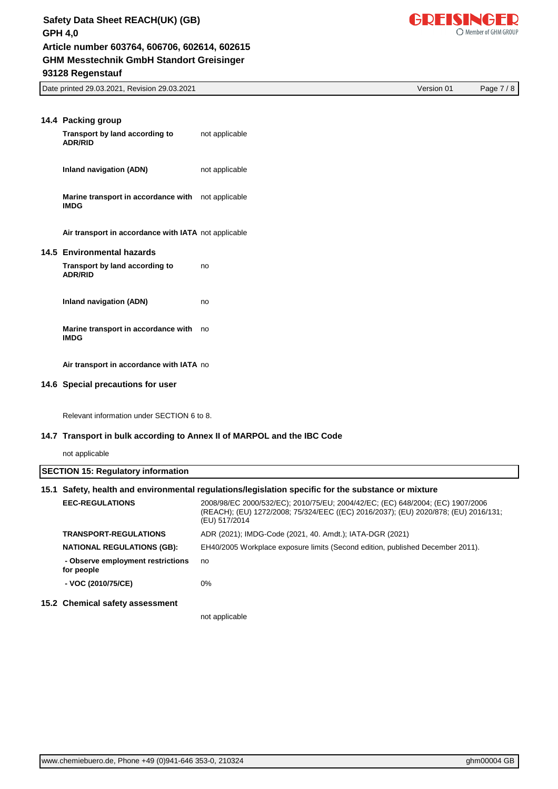# **GHM Messtechnik GmbH Standort Greisinger Safety Data Sheet REACH(UK) (GB) GPH 4,0 93128 Regenstauf Article number 603764, 606706, 602614, 602615**



Date printed 29.03.2021, Revision 29.03.2021 Version 01 Page 7 / 8

| 14.4 Packing group<br>Transport by land according to<br><b>ADR/RID</b> | not applicable |
|------------------------------------------------------------------------|----------------|
| Inland navigation (ADN)                                                | not applicable |
| Marine transport in accordance with not applicable<br><b>IMDG</b>      |                |
| Air transport in accordance with IATA not applicable                   |                |
| 14.5 Environmental hazards                                             |                |
| Transport by land according to<br><b>ADR/RID</b>                       | no             |
| Inland navigation (ADN)                                                | no             |
| Marine transport in accordance with<br><b>IMDG</b>                     | no             |
| Air transport in accordance with IATA no                               |                |
| 14.6 Special precautions for user                                      |                |

Relevant information under SECTION 6 to 8.

## **14.7 Transport in bulk according to Annex II of MARPOL and the IBC Code**

not applicable

|                                                 | 15.1 Safety, health and environmental requiations/legislation specific for the substance or mixture                                                                                    |
|-------------------------------------------------|----------------------------------------------------------------------------------------------------------------------------------------------------------------------------------------|
| <b>EEC-REGULATIONS</b>                          | 2008/98/EC 2000/532/EC); 2010/75/EU; 2004/42/EC; (EC) 648/2004; (EC) 1907/2006<br>(REACH); (EU) 1272/2008; 75/324/EEC ((EC) 2016/2037); (EU) 2020/878; (EU) 2016/131;<br>(EU) 517/2014 |
| <b>TRANSPORT-REGULATIONS</b>                    | ADR (2021); IMDG-Code (2021, 40. Amdt.); IATA-DGR (2021)                                                                                                                               |
| <b>NATIONAL REGULATIONS (GB):</b>               | EH40/2005 Workplace exposure limits (Second edition, published December 2011).                                                                                                         |
| - Observe employment restrictions<br>for people | no                                                                                                                                                                                     |
| - VOC (2010/75/CE)                              | $0\%$                                                                                                                                                                                  |
| 15.2 Chemical safety assessment                 |                                                                                                                                                                                        |
|                                                 | not applicable                                                                                                                                                                         |